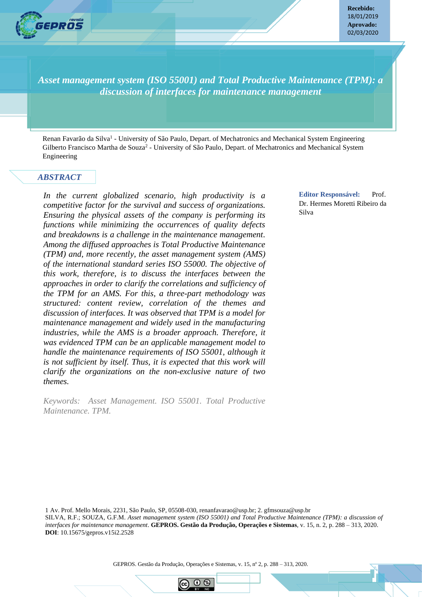

**Recebido:** 18/01/2019 **Aprovado:** 02/03/2020

*Asset management system (ISO 55001) and Total Productive Maintenance (TPM): a discussion of interfaces for maintenance management*

Renan Favarão da Silva<sup>1</sup> - University of São Paulo, Depart. of Mechatronics and Mechanical System Engineering Gilberto Francisco Martha de Souza<sup>2</sup> - University of São Paulo, Depart. of Mechatronics and Mechanical System Engineering

#### *ABSTRACT*

*In the current globalized scenario, high productivity is a competitive factor for the survival and success of organizations. Ensuring the physical assets of the company is performing its functions while minimizing the occurrences of quality defects and breakdowns is a challenge in the maintenance management. Among the diffused approaches is Total Productive Maintenance (TPM) and, more recently, the asset management system (AMS) of the international standard series ISO 55000. The objective of this work, therefore, is to discuss the interfaces between the approaches in order to clarify the correlations and sufficiency of the TPM for an AMS. For this, a three-part methodology was structured: content review, correlation of the themes and discussion of interfaces. It was observed that TPM is a model for maintenance management and widely used in the manufacturing industries, while the AMS is a broader approach. Therefore, it was evidenced TPM can be an applicable management model to handle the maintenance requirements of ISO 55001, although it is not sufficient by itself. Thus, it is expected that this work will clarify the organizations on the non-exclusive nature of two themes.*

*Keywords: Asset Management. ISO 55001. Total Productive Maintenance. TPM.*

**Editor Responsável:** Prof. Dr. Hermes Moretti Ribeiro da Silva

1 Av. Prof. Mello Morais, 2231, São Paulo, SP, 05508-030, renanfavarao@usp.br; 2. gfmsouza@usp.br SILVA, R.F.; SOUZA, G.F.M. *Asset management system (ISO 55001) and Total Productive Maintenance (TPM): a discussion of interfaces for maintenance management*. **GEPROS. Gestão da Produção, Operações e Sistemas**, v. 15, n. 2, p. 288 – 313, 2020. **DOI**: 10.15675/gepros.v15i2.2528

**GEPROS. Gestão da Produção, Operações e Sistemas**, Bauru, Ano 14, nº 4, out-dez/2018, p. 1-23. GEPROS. Gestão da Produção, Operações e Sistemas, v. 15, nº 2, p. 288 – 313, 2020.

 $\odot$   $\odot$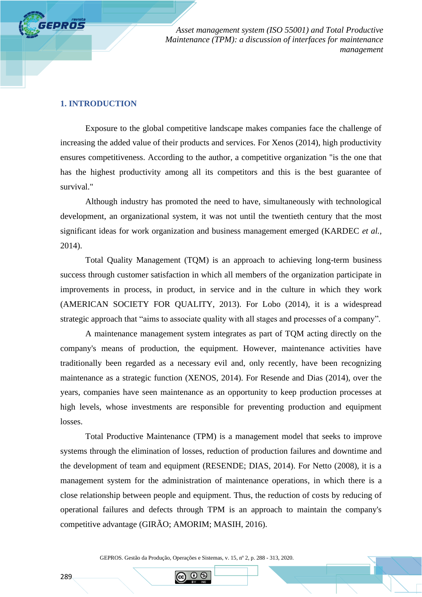#### **1. INTRODUCTION**

**FEPROS** 

Exposure to the global competitive landscape makes companies face the challenge of increasing the added value of their products and services. For Xenos (2014), high productivity ensures competitiveness. According to the author, a competitive organization "is the one that has the highest productivity among all its competitors and this is the best guarantee of survival."

Although industry has promoted the need to have, simultaneously with technological development, an organizational system, it was not until the twentieth century that the most significant ideas for work organization and business management emerged (KARDEC *et al.,* 2014).

Total Quality Management (TQM) is an approach to achieving long-term business success through customer satisfaction in which all members of the organization participate in improvements in process, in product, in service and in the culture in which they work (AMERICAN SOCIETY FOR QUALITY, 2013). For Lobo (2014), it is a widespread strategic approach that "aims to associate quality with all stages and processes of a company".

A maintenance management system integrates as part of TQM acting directly on the company's means of production, the equipment. However, maintenance activities have traditionally been regarded as a necessary evil and, only recently, have been recognizing maintenance as a strategic function (XENOS, 2014). For Resende and Dias (2014), over the years, companies have seen maintenance as an opportunity to keep production processes at high levels, whose investments are responsible for preventing production and equipment losses.

Total Productive Maintenance (TPM) is a management model that seeks to improve systems through the elimination of losses, reduction of production failures and downtime and the development of team and equipment (RESENDE; DIAS, 2014). For Netto (2008), it is a management system for the administration of maintenance operations, in which there is a close relationship between people and equipment. Thus, the reduction of costs by reducing of operational failures and defects through TPM is an approach to maintain the company's competitive advantage (GIRÃO; AMORIM; MASIH, 2016).

GEPROS. Gestão da Produção, Operações e Sistemas, v. 15, nº 2, p. 288 - 313, 2020.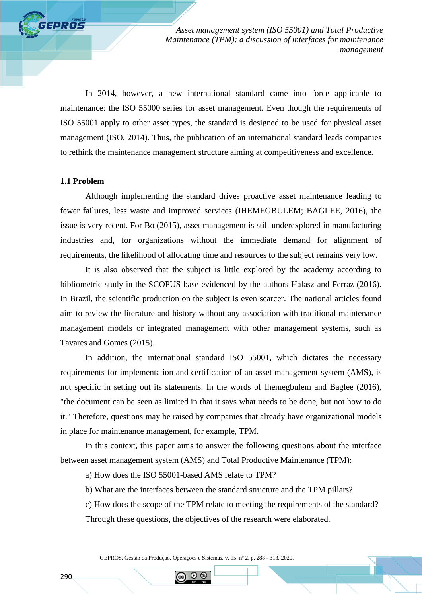In 2014, however, a new international standard came into force applicable to maintenance: the ISO 55000 series for asset management. Even though the requirements of ISO 55001 apply to other asset types, the standard is designed to be used for physical asset management (ISO, 2014). Thus, the publication of an international standard leads companies to rethink the maintenance management structure aiming at competitiveness and excellence.

#### **1.1 Problem**

**GEPROS** 

Although implementing the standard drives proactive asset maintenance leading to fewer failures, less waste and improved services (IHEMEGBULEM; BAGLEE, 2016), the issue is very recent. For Bo (2015), asset management is still underexplored in manufacturing industries and, for organizations without the immediate demand for alignment of requirements, the likelihood of allocating time and resources to the subject remains very low.

It is also observed that the subject is little explored by the academy according to bibliometric study in the SCOPUS base evidenced by the authors Halasz and Ferraz (2016). In Brazil, the scientific production on the subject is even scarcer. The national articles found aim to review the literature and history without any association with traditional maintenance management models or integrated management with other management systems, such as Tavares and Gomes (2015).

In addition, the international standard ISO 55001, which dictates the necessary requirements for implementation and certification of an asset management system (AMS), is not specific in setting out its statements. In the words of Ihemegbulem and Baglee (2016), "the document can be seen as limited in that it says what needs to be done, but not how to do it." Therefore, questions may be raised by companies that already have organizational models in place for maintenance management, for example, TPM.

In this context, this paper aims to answer the following questions about the interface between asset management system (AMS) and Total Productive Maintenance (TPM):

a) How does the ISO 55001-based AMS relate to TPM?

b) What are the interfaces between the standard structure and the TPM pillars?

c) How does the scope of the TPM relate to meeting the requirements of the standard?

Through these questions, the objectives of the research were elaborated.

GEPROS. Gestão da Produção, Operações e Sistemas, v. 15, nº 2, p. 288 - 313, 2020.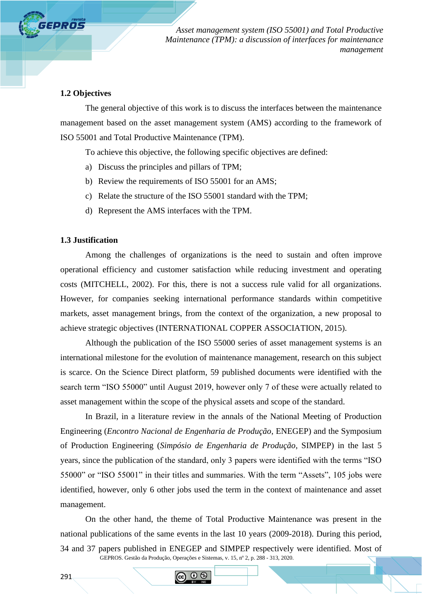## **1.2 Objectives**

*SEPROS* 

The general objective of this work is to discuss the interfaces between the maintenance management based on the asset management system (AMS) according to the framework of ISO 55001 and Total Productive Maintenance (TPM).

To achieve this objective, the following specific objectives are defined:

- a) Discuss the principles and pillars of TPM;
- b) Review the requirements of ISO 55001 for an AMS;
- c) Relate the structure of the ISO 55001 standard with the TPM;
- d) Represent the AMS interfaces with the TPM.

# **1.3 Justification**

Among the challenges of organizations is the need to sustain and often improve operational efficiency and customer satisfaction while reducing investment and operating costs (MITCHELL, 2002). For this, there is not a success rule valid for all organizations. However, for companies seeking international performance standards within competitive markets, asset management brings, from the context of the organization, a new proposal to achieve strategic objectives (INTERNATIONAL COPPER ASSOCIATION, 2015).

Although the publication of the ISO 55000 series of asset management systems is an international milestone for the evolution of maintenance management, research on this subject is scarce. On the Science Direct platform, 59 published documents were identified with the search term "ISO 55000" until August 2019, however only 7 of these were actually related to asset management within the scope of the physical assets and scope of the standard.

In Brazil, in a literature review in the annals of the National Meeting of Production Engineering (*Encontro Nacional de Engenharia de Produção*, ENEGEP) and the Symposium of Production Engineering (*Simpósio de Engenharia de Produção*, SIMPEP) in the last 5 years, since the publication of the standard, only 3 papers were identified with the terms "ISO 55000" or "ISO 55001" in their titles and summaries. With the term "Assets", 105 jobs were identified, however, only 6 other jobs used the term in the context of maintenance and asset management.

GEPROS. Gestão da Produção, Operações e Sistemas, v. 15, nº 2, p. 288 - 313, 2020. On the other hand, the theme of Total Productive Maintenance was present in the national publications of the same events in the last 10 years (2009-2018). During this period, 34 and 37 papers published in ENEGEP and SIMPEP respectively were identified. Most of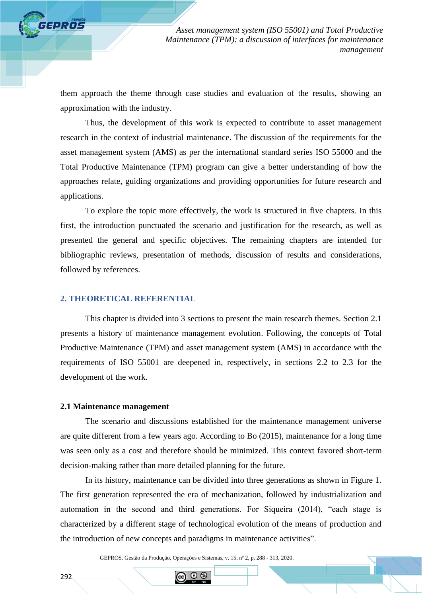them approach the theme through case studies and evaluation of the results, showing an approximation with the industry.

Thus, the development of this work is expected to contribute to asset management research in the context of industrial maintenance. The discussion of the requirements for the asset management system (AMS) as per the international standard series ISO 55000 and the Total Productive Maintenance (TPM) program can give a better understanding of how the approaches relate, guiding organizations and providing opportunities for future research and applications.

To explore the topic more effectively, the work is structured in five chapters. In this first, the introduction punctuated the scenario and justification for the research, as well as presented the general and specific objectives. The remaining chapters are intended for bibliographic reviews, presentation of methods, discussion of results and considerations, followed by references.

# **2. THEORETICAL REFERENTIAL**

This chapter is divided into 3 sections to present the main research themes. Section 2.1 presents a history of maintenance management evolution. Following, the concepts of Total Productive Maintenance (TPM) and asset management system (AMS) in accordance with the requirements of ISO 55001 are deepened in, respectively, in sections 2.2 to 2.3 for the development of the work.

### **2.1 Maintenance management**

The scenario and discussions established for the maintenance management universe are quite different from a few years ago. According to Bo (2015), maintenance for a long time was seen only as a cost and therefore should be minimized. This context favored short-term decision-making rather than more detailed planning for the future.

In its history, maintenance can be divided into three generations as shown in Figure 1. The first generation represented the era of mechanization, followed by industrialization and automation in the second and third generations. For Siqueira (2014), "each stage is characterized by a different stage of technological evolution of the means of production and the introduction of new concepts and paradigms in maintenance activities".

GEPROS. Gestão da Produção, Operações e Sistemas, v. 15, nº 2, p. 288 - 313, 2020.

 $\odot$   $\odot$ 

**FEPROS**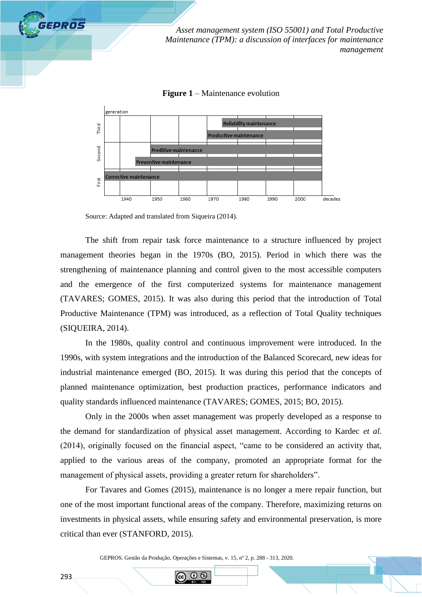

**Figure 1** – Maintenance evolution



Source: Adapted and translated from Siqueira (2014).

The shift from repair task force maintenance to a structure influenced by project management theories began in the 1970s (BO, 2015). Period in which there was the strengthening of maintenance planning and control given to the most accessible computers and the emergence of the first computerized systems for maintenance management (TAVARES; GOMES, 2015). It was also during this period that the introduction of Total Productive Maintenance (TPM) was introduced, as a reflection of Total Quality techniques (SIQUEIRA, 2014).

In the 1980s, quality control and continuous improvement were introduced. In the 1990s, with system integrations and the introduction of the Balanced Scorecard, new ideas for industrial maintenance emerged (BO, 2015). It was during this period that the concepts of planned maintenance optimization, best production practices, performance indicators and quality standards influenced maintenance (TAVARES; GOMES, 2015; BO, 2015).

Only in the 2000s when asset management was properly developed as a response to the demand for standardization of physical asset management. According to Kardec *et al.* (2014), originally focused on the financial aspect, "came to be considered an activity that, applied to the various areas of the company, promoted an appropriate format for the management of physical assets, providing a greater return for shareholders".

For Tavares and Gomes (2015), maintenance is no longer a mere repair function, but one of the most important functional areas of the company. Therefore, maximizing returns on investments in physical assets, while ensuring safety and environmental preservation, is more critical than ever (STANFORD, 2015).

GEPROS. Gestão da Produção, Operações e Sistemas, v. 15, nº 2, p. 288 - 313, 2020.

**IS**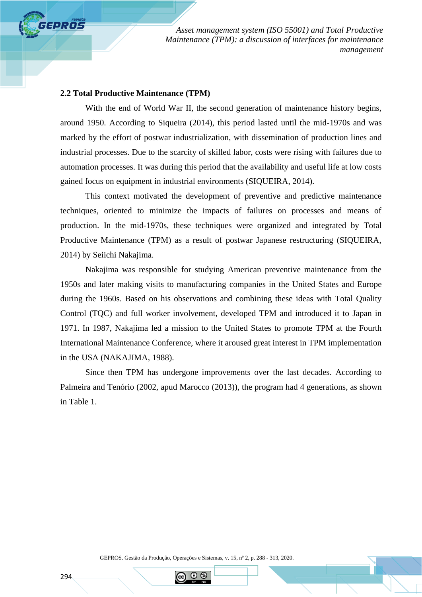## **2.2 Total Productive Maintenance (TPM)**

GEPROS

With the end of World War II, the second generation of maintenance history begins, around 1950. According to Siqueira (2014), this period lasted until the mid-1970s and was marked by the effort of postwar industrialization, with dissemination of production lines and industrial processes. Due to the scarcity of skilled labor, costs were rising with failures due to automation processes. It was during this period that the availability and useful life at low costs gained focus on equipment in industrial environments (SIQUEIRA, 2014).

This context motivated the development of preventive and predictive maintenance techniques, oriented to minimize the impacts of failures on processes and means of production. In the mid-1970s, these techniques were organized and integrated by Total Productive Maintenance (TPM) as a result of postwar Japanese restructuring (SIQUEIRA, 2014) by Seiichi Nakajima.

Nakajima was responsible for studying American preventive maintenance from the 1950s and later making visits to manufacturing companies in the United States and Europe during the 1960s. Based on his observations and combining these ideas with Total Quality Control (TQC) and full worker involvement, developed TPM and introduced it to Japan in 1971. In 1987, Nakajima led a mission to the United States to promote TPM at the Fourth International Maintenance Conference, where it aroused great interest in TPM implementation in the USA (NAKAJIMA, 1988).

Since then TPM has undergone improvements over the last decades. According to Palmeira and Tenório (2002, apud Marocco (2013)), the program had 4 generations, as shown in Table 1.

GEPROS. Gestão da Produção, Operações e Sistemas, v. 15, nº 2, p. 288 - 313, 2020.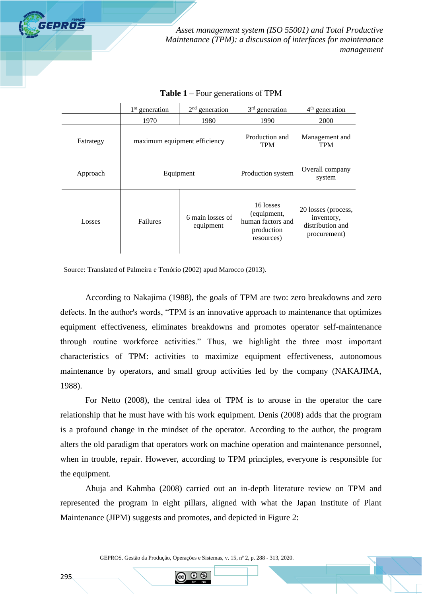

|           | $1st$ generation             | $2nd$ generation | $3rd$ generation                                                          | $4th$ generation                                                      |  |
|-----------|------------------------------|------------------|---------------------------------------------------------------------------|-----------------------------------------------------------------------|--|
|           | 1970                         | 1980             | 1990                                                                      | <b>2000</b>                                                           |  |
| Estrategy | maximum equipment efficiency |                  | Production and<br><b>TPM</b>                                              | Management and<br><b>TPM</b>                                          |  |
| Approach  | Equipment                    |                  | Production system                                                         | Overall company<br>system                                             |  |
| Losses    | Failures                     |                  | 16 losses<br>(equipment,<br>human factors and<br>production<br>resources) | 20 losses (process,<br>inventory,<br>distribution and<br>procurement) |  |

**Table 1** – Four generations of TPM

Source: Translated of Palmeira e Tenório (2002) apud Marocco (2013).

According to Nakajima (1988), the goals of TPM are two: zero breakdowns and zero defects. In the author's words, "TPM is an innovative approach to maintenance that optimizes equipment effectiveness, eliminates breakdowns and promotes operator self-maintenance through routine workforce activities." Thus, we highlight the three most important characteristics of TPM: activities to maximize equipment effectiveness, autonomous maintenance by operators, and small group activities led by the company (NAKAJIMA, 1988).

For Netto (2008), the central idea of TPM is to arouse in the operator the care relationship that he must have with his work equipment. Denis (2008) adds that the program is a profound change in the mindset of the operator. According to the author, the program alters the old paradigm that operators work on machine operation and maintenance personnel, when in trouble, repair. However, according to TPM principles, everyone is responsible for the equipment.

Ahuja and Kahmba (2008) carried out an in-depth literature review on TPM and represented the program in eight pillars, aligned with what the Japan Institute of Plant Maintenance (JIPM) suggests and promotes, and depicted in Figure 2:

GEPROS. Gestão da Produção, Operações e Sistemas, v. 15, nº 2, p. 288 - 313, 2020.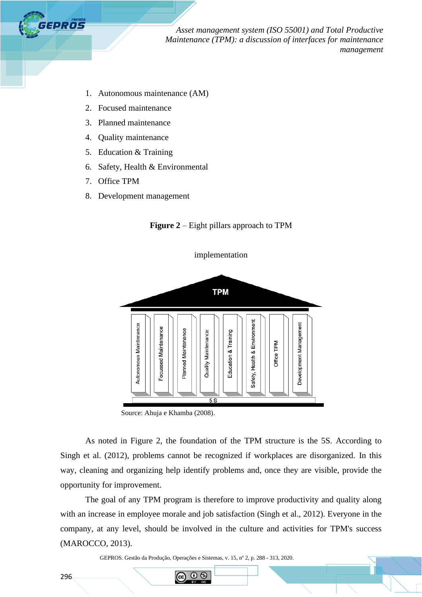

- 1. Autonomous maintenance (AM)
- 2. Focused maintenance
- 3. Planned maintenance
- 4. Quality maintenance
- 5. Education & Training
- 6. Safety, Health & Environmental
- 7. Office TPM
- 8. Development management



implementation





As noted in Figure 2, the foundation of the TPM structure is the 5S. According to Singh et al. (2012), problems cannot be recognized if workplaces are disorganized. In this way, cleaning and organizing help identify problems and, once they are visible, provide the opportunity for improvement.

The goal of any TPM program is therefore to improve productivity and quality along with an increase in employee morale and job satisfaction (Singh et al., 2012). Everyone in the company, at any level, should be involved in the culture and activities for TPM's success (MAROCCO, 2013).

GEPROS. Gestão da Produção, Operações e Sistemas, v. 15, nº 2, p. 288 - 313, 2020.

 $\odot$   $\odot$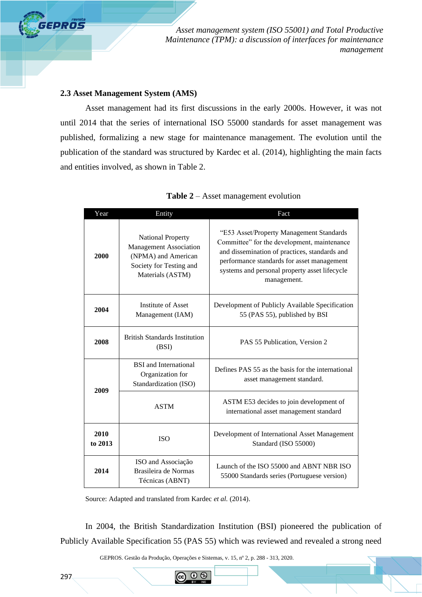## **2.3 Asset Management System (AMS)**

GEPROS

Asset management had its first discussions in the early 2000s. However, it was not until 2014 that the series of international ISO 55000 standards for asset management was published, formalizing a new stage for maintenance management. The evolution until the publication of the standard was structured by Kardec et al. (2014), highlighting the main facts and entities involved, as shown in Table 2.

| Year            | Entity                                                                                                                          | Fact                                                                                                                                                                                                                                                   |  |  |
|-----------------|---------------------------------------------------------------------------------------------------------------------------------|--------------------------------------------------------------------------------------------------------------------------------------------------------------------------------------------------------------------------------------------------------|--|--|
| 2000            | <b>National Property</b><br><b>Management Association</b><br>(NPMA) and American<br>Society for Testing and<br>Materials (ASTM) | "E53 Asset/Property Management Standards<br>Committee" for the development, maintenance<br>and dissemination of practices, standards and<br>performance standards for asset management<br>systems and personal property asset lifecycle<br>management. |  |  |
| 2004            | Institute of Asset<br>Management (IAM)                                                                                          | Development of Publicly Available Specification<br>55 (PAS 55), published by BSI                                                                                                                                                                       |  |  |
| 2008            | <b>British Standards Institution</b><br>(BSI)                                                                                   | PAS 55 Publication, Version 2                                                                                                                                                                                                                          |  |  |
| 2009            | <b>BSI</b> and International<br>Organization for<br>Standardization (ISO)                                                       | Defines PAS 55 as the basis for the international<br>asset management standard.                                                                                                                                                                        |  |  |
|                 | <b>ASTM</b>                                                                                                                     | ASTM E53 decides to join development of<br>international asset management standard                                                                                                                                                                     |  |  |
| 2010<br>to 2013 | <b>ISO</b>                                                                                                                      | Development of International Asset Management<br>Standard (ISO 55000)                                                                                                                                                                                  |  |  |
| 2014            | ISO and Associação<br>Brasileira de Normas<br>Técnicas (ABNT)                                                                   | Launch of the ISO 55000 and ABNT NBR ISO<br>55000 Standards series (Portuguese version)                                                                                                                                                                |  |  |

Source: Adapted and translated from Kardec *et al.* (2014).

In 2004, the British Standardization Institution (BSI) pioneered the publication of Publicly Available Specification 55 (PAS 55) which was reviewed and revealed a strong need

GEPROS. Gestão da Produção, Operações e Sistemas, v. 15, nº 2, p. 288 - 313, 2020.

(i) (s)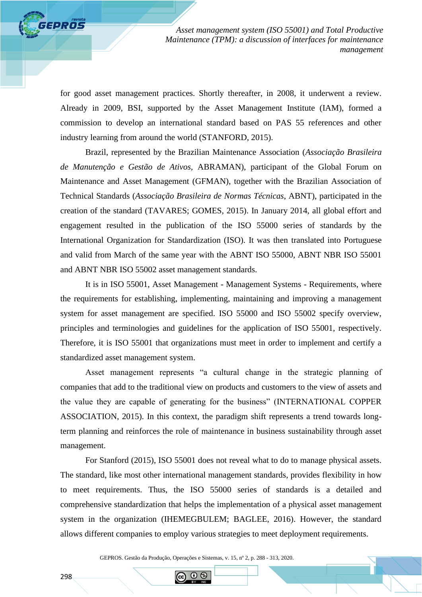for good asset management practices. Shortly thereafter, in 2008, it underwent a review. Already in 2009, BSI, supported by the Asset Management Institute (IAM), formed a commission to develop an international standard based on PAS 55 references and other industry learning from around the world (STANFORD, 2015).

Brazil, represented by the Brazilian Maintenance Association (*Associação Brasileira de Manutenção e Gestão de Ativos,* ABRAMAN), participant of the Global Forum on Maintenance and Asset Management (GFMAN), together with the Brazilian Association of Technical Standards (*Associação Brasileira de Normas Técnicas*, ABNT), participated in the creation of the standard (TAVARES; GOMES, 2015). In January 2014, all global effort and engagement resulted in the publication of the ISO 55000 series of standards by the International Organization for Standardization (ISO). It was then translated into Portuguese and valid from March of the same year with the ABNT ISO 55000, ABNT NBR ISO 55001 and ABNT NBR ISO 55002 asset management standards.

It is in ISO 55001, Asset Management - Management Systems - Requirements, where the requirements for establishing, implementing, maintaining and improving a management system for asset management are specified. ISO 55000 and ISO 55002 specify overview, principles and terminologies and guidelines for the application of ISO 55001, respectively. Therefore, it is ISO 55001 that organizations must meet in order to implement and certify a standardized asset management system.

Asset management represents "a cultural change in the strategic planning of companies that add to the traditional view on products and customers to the view of assets and the value they are capable of generating for the business" (INTERNATIONAL COPPER ASSOCIATION, 2015). In this context, the paradigm shift represents a trend towards longterm planning and reinforces the role of maintenance in business sustainability through asset management.

For Stanford (2015), ISO 55001 does not reveal what to do to manage physical assets. The standard, like most other international management standards, provides flexibility in how to meet requirements. Thus, the ISO 55000 series of standards is a detailed and comprehensive standardization that helps the implementation of a physical asset management system in the organization (IHEMEGBULEM; BAGLEE, 2016). However, the standard allows different companies to employ various strategies to meet deployment requirements.

GEPROS. Gestão da Produção, Operações e Sistemas, v. 15, nº 2, p. 288 - 313, 2020.

റ ഭ

**GEPROS**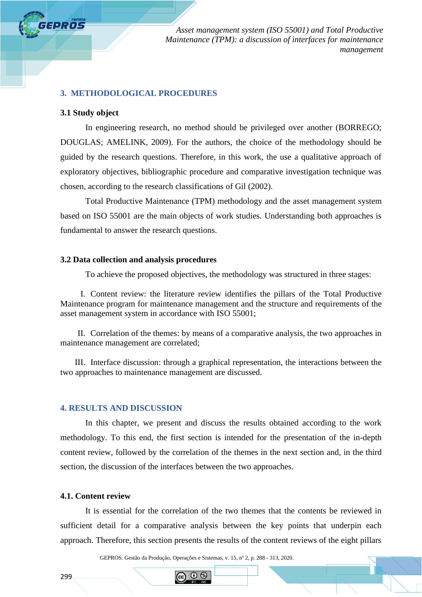

## **3. METHODOLOGICAL PROCEDURES**

#### **3.1 Study object**

In engineering research, no method should be privileged over another (BORREGO; DOUGLAS; AMELINK, 2009). For the authors, the choice of the methodology should be guided by the research questions. Therefore, in this work, the use a qualitative approach of exploratory objectives, bibliographic procedure and comparative investigation technique was chosen, according to the research classifications of Gil (2002).

Total Productive Maintenance (TPM) methodology and the asset management system based on ISO 55001 are the main objects of work studies. Understanding both approaches is fundamental to answer the research questions.

# **3.2 Data collection and analysis procedures**

To achieve the proposed objectives, the methodology was structured in three stages:

I. Content review: the literature review identifies the pillars of the Total Productive Maintenance program for maintenance management and the structure and requirements of the asset management system in accordance with ISO 55001;

II. Correlation of the themes: by means of a comparative analysis, the two approaches in maintenance management are correlated;

III. Interface discussion: through a graphical representation, the interactions between the two approaches to maintenance management are discussed.

#### **4. RESULTS AND DISCUSSION**

In this chapter, we present and discuss the results obtained according to the work methodology. To this end, the first section is intended for the presentation of the in-depth content review, followed by the correlation of the themes in the next section and, in the third section, the discussion of the interfaces between the two approaches.

#### **4.1. Content review**

It is essential for the correlation of the two themes that the contents be reviewed in sufficient detail for a comparative analysis between the key points that underpin each approach. Therefore, this section presents the results of the content reviews of the eight pillars

GEPROS. Gestão da Produção, Operações e Sistemas, v. 15, nº 2, p. 288 - 313, 2020.

 $\odot$  6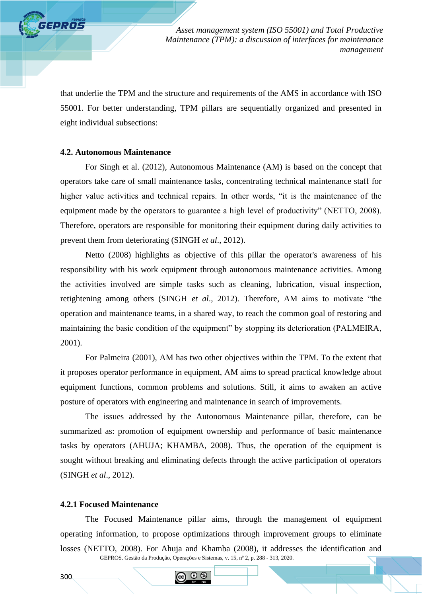that underlie the TPM and the structure and requirements of the AMS in accordance with ISO 55001. For better understanding, TPM pillars are sequentially organized and presented in eight individual subsections:

# **4.2. Autonomous Maintenance**

**GEPROS** 

For Singh et al. (2012), Autonomous Maintenance (AM) is based on the concept that operators take care of small maintenance tasks, concentrating technical maintenance staff for higher value activities and technical repairs. In other words, "it is the maintenance of the equipment made by the operators to guarantee a high level of productivity" (NETTO, 2008). Therefore, operators are responsible for monitoring their equipment during daily activities to prevent them from deteriorating (SINGH *et al*., 2012).

Netto (2008) highlights as objective of this pillar the operator's awareness of his responsibility with his work equipment through autonomous maintenance activities. Among the activities involved are simple tasks such as cleaning, lubrication, visual inspection, retightening among others (SINGH *et al*., 2012). Therefore, AM aims to motivate "the operation and maintenance teams, in a shared way, to reach the common goal of restoring and maintaining the basic condition of the equipment" by stopping its deterioration (PALMEIRA, 2001).

For Palmeira (2001), AM has two other objectives within the TPM. To the extent that it proposes operator performance in equipment, AM aims to spread practical knowledge about equipment functions, common problems and solutions. Still, it aims to awaken an active posture of operators with engineering and maintenance in search of improvements.

The issues addressed by the Autonomous Maintenance pillar, therefore, can be summarized as: promotion of equipment ownership and performance of basic maintenance tasks by operators (AHUJA; KHAMBA, 2008). Thus, the operation of the equipment is sought without breaking and eliminating defects through the active participation of operators (SINGH *et al*., 2012).

#### **4.2.1 Focused Maintenance**

GEPROS. Gestão da Produção, Operações e Sistemas, v. 15, nº 2, p. 288 - 313, 2020. The Focused Maintenance pillar aims, through the management of equipment operating information, to propose optimizations through improvement groups to eliminate losses (NETTO, 2008). For Ahuja and Khamba (2008), it addresses the identification and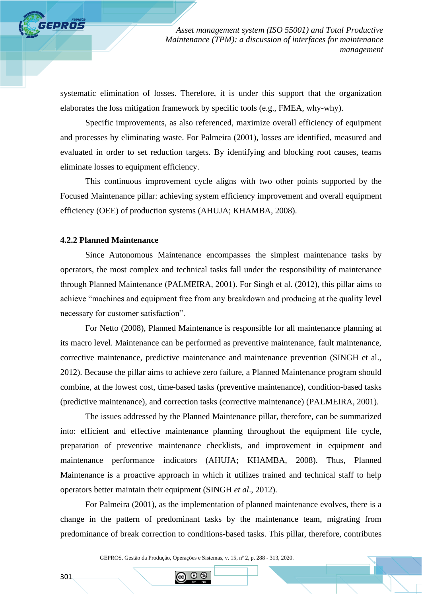systematic elimination of losses. Therefore, it is under this support that the organization elaborates the loss mitigation framework by specific tools (e.g., FMEA, why-why).

Specific improvements, as also referenced, maximize overall efficiency of equipment and processes by eliminating waste. For Palmeira (2001), losses are identified, measured and evaluated in order to set reduction targets. By identifying and blocking root causes, teams eliminate losses to equipment efficiency.

This continuous improvement cycle aligns with two other points supported by the Focused Maintenance pillar: achieving system efficiency improvement and overall equipment efficiency (OEE) of production systems (AHUJA; KHAMBA, 2008).

#### **4.2.2 Planned Maintenance**

**FEPROS** 

Since Autonomous Maintenance encompasses the simplest maintenance tasks by operators, the most complex and technical tasks fall under the responsibility of maintenance through Planned Maintenance (PALMEIRA, 2001). For Singh et al. (2012), this pillar aims to achieve "machines and equipment free from any breakdown and producing at the quality level necessary for customer satisfaction".

For Netto (2008), Planned Maintenance is responsible for all maintenance planning at its macro level. Maintenance can be performed as preventive maintenance, fault maintenance, corrective maintenance, predictive maintenance and maintenance prevention (SINGH et al., 2012). Because the pillar aims to achieve zero failure, a Planned Maintenance program should combine, at the lowest cost, time-based tasks (preventive maintenance), condition-based tasks (predictive maintenance), and correction tasks (corrective maintenance) (PALMEIRA, 2001).

The issues addressed by the Planned Maintenance pillar, therefore, can be summarized into: efficient and effective maintenance planning throughout the equipment life cycle, preparation of preventive maintenance checklists, and improvement in equipment and maintenance performance indicators (AHUJA; KHAMBA, 2008). Thus, Planned Maintenance is a proactive approach in which it utilizes trained and technical staff to help operators better maintain their equipment (SINGH *et al*., 2012).

For Palmeira (2001), as the implementation of planned maintenance evolves, there is a change in the pattern of predominant tasks by the maintenance team, migrating from predominance of break correction to conditions-based tasks. This pillar, therefore, contributes

GEPROS. Gestão da Produção, Operações e Sistemas, v. 15, nº 2, p. 288 - 313, 2020.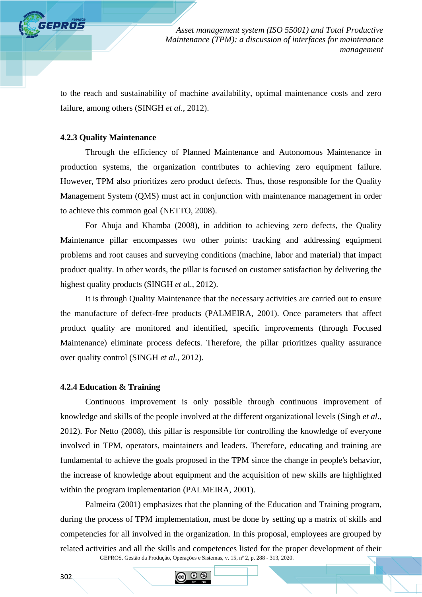to the reach and sustainability of machine availability, optimal maintenance costs and zero failure, among others (SINGH *et al*., 2012).

## **4.2.3 Quality Maintenance**

**GEPROS** 

Through the efficiency of Planned Maintenance and Autonomous Maintenance in production systems, the organization contributes to achieving zero equipment failure. However, TPM also prioritizes zero product defects. Thus, those responsible for the Quality Management System (QMS) must act in conjunction with maintenance management in order to achieve this common goal (NETTO, 2008).

For Ahuja and Khamba (2008), in addition to achieving zero defects, the Quality Maintenance pillar encompasses two other points: tracking and addressing equipment problems and root causes and surveying conditions (machine, labor and material) that impact product quality. In other words, the pillar is focused on customer satisfaction by delivering the highest quality products (SINGH *et a*l., 2012).

It is through Quality Maintenance that the necessary activities are carried out to ensure the manufacture of defect-free products (PALMEIRA, 2001). Once parameters that affect product quality are monitored and identified, specific improvements (through Focused Maintenance) eliminate process defects. Therefore, the pillar prioritizes quality assurance over quality control (SINGH *et al.*, 2012).

#### **4.2.4 Education & Training**

Continuous improvement is only possible through continuous improvement of knowledge and skills of the people involved at the different organizational levels (Singh *et al*., 2012). For Netto (2008), this pillar is responsible for controlling the knowledge of everyone involved in TPM, operators, maintainers and leaders. Therefore, educating and training are fundamental to achieve the goals proposed in the TPM since the change in people's behavior, the increase of knowledge about equipment and the acquisition of new skills are highlighted within the program implementation (PALMEIRA, 2001).

GEPROS. Gestão da Produção, Operações e Sistemas, v. 15, nº 2, p. 288 - 313, 2020. Palmeira (2001) emphasizes that the planning of the Education and Training program, during the process of TPM implementation, must be done by setting up a matrix of skills and competencies for all involved in the organization. In this proposal, employees are grouped by related activities and all the skills and competences listed for the proper development of their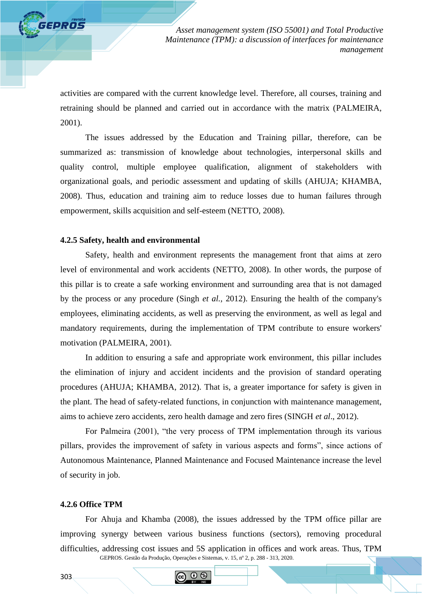activities are compared with the current knowledge level. Therefore, all courses, training and retraining should be planned and carried out in accordance with the matrix (PALMEIRA, 2001).

The issues addressed by the Education and Training pillar, therefore, can be summarized as: transmission of knowledge about technologies, interpersonal skills and quality control, multiple employee qualification, alignment of stakeholders with organizational goals, and periodic assessment and updating of skills (AHUJA; KHAMBA, 2008). Thus, education and training aim to reduce losses due to human failures through empowerment, skills acquisition and self-esteem (NETTO, 2008).

#### **4.2.5 Safety, health and environmental**

**GPROS** 

Safety, health and environment represents the management front that aims at zero level of environmental and work accidents (NETTO, 2008). In other words, the purpose of this pillar is to create a safe working environment and surrounding area that is not damaged by the process or any procedure (Singh *et al.,* 2012). Ensuring the health of the company's employees, eliminating accidents, as well as preserving the environment, as well as legal and mandatory requirements, during the implementation of TPM contribute to ensure workers' motivation (PALMEIRA, 2001).

In addition to ensuring a safe and appropriate work environment, this pillar includes the elimination of injury and accident incidents and the provision of standard operating procedures (AHUJA; KHAMBA, 2012). That is, a greater importance for safety is given in the plant. The head of safety-related functions, in conjunction with maintenance management, aims to achieve zero accidents, zero health damage and zero fires (SINGH *et al*., 2012).

For Palmeira (2001), "the very process of TPM implementation through its various pillars, provides the improvement of safety in various aspects and forms", since actions of Autonomous Maintenance, Planned Maintenance and Focused Maintenance increase the level of security in job.

#### **4.2.6 Office TPM**

GEPROS. Gestão da Produção, Operações e Sistemas, v. 15, nº 2, p. 288 - 313, 2020. For Ahuja and Khamba (2008), the issues addressed by the TPM office pillar are improving synergy between various business functions (sectors), removing procedural difficulties, addressing cost issues and 5S application in offices and work areas. Thus, TPM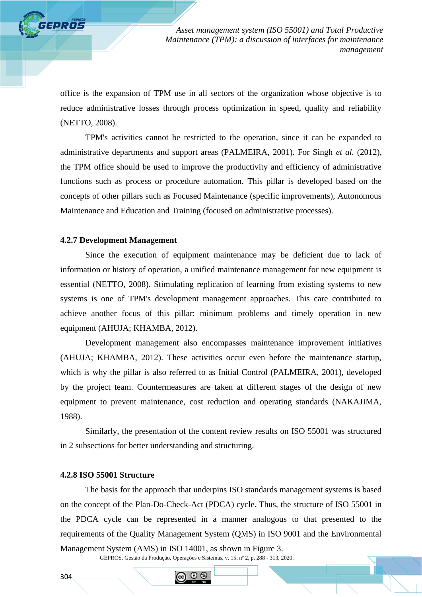office is the expansion of TPM use in all sectors of the organization whose objective is to reduce administrative losses through process optimization in speed, quality and reliability (NETTO, 2008).

TPM's activities cannot be restricted to the operation, since it can be expanded to administrative departments and support areas (PALMEIRA, 2001). For Singh *et al.* (2012), the TPM office should be used to improve the productivity and efficiency of administrative functions such as process or procedure automation. This pillar is developed based on the concepts of other pillars such as Focused Maintenance (specific improvements), Autonomous Maintenance and Education and Training (focused on administrative processes).

## **4.2.7 Development Management**

GEPROS

Since the execution of equipment maintenance may be deficient due to lack of information or history of operation, a unified maintenance management for new equipment is essential (NETTO, 2008). Stimulating replication of learning from existing systems to new systems is one of TPM's development management approaches. This care contributed to achieve another focus of this pillar: minimum problems and timely operation in new equipment (AHUJA; KHAMBA, 2012).

Development management also encompasses maintenance improvement initiatives (AHUJA; KHAMBA, 2012). These activities occur even before the maintenance startup, which is why the pillar is also referred to as Initial Control (PALMEIRA, 2001), developed by the project team. Countermeasures are taken at different stages of the design of new equipment to prevent maintenance, cost reduction and operating standards (NAKAJIMA, 1988).

Similarly, the presentation of the content review results on ISO 55001 was structured in 2 subsections for better understanding and structuring.

#### **4.2.8 ISO 55001 Structure**

The basis for the approach that underpins ISO standards management systems is based on the concept of the Plan-Do-Check-Act (PDCA) cycle. Thus, the structure of ISO 55001 in the PDCA cycle can be represented in a manner analogous to that presented to the requirements of the Quality Management System (QMS) in ISO 9001 and the Environmental Management System (AMS) in ISO 14001, as shown in Figure 3.

GEPROS. Gestão da Produção, Operações e Sistemas, v. 15, nº 2, p. 288 - 313, 2020.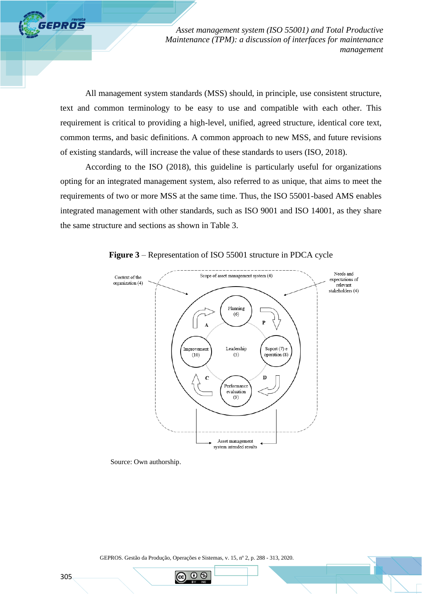All management system standards (MSS) should, in principle, use consistent structure, text and common terminology to be easy to use and compatible with each other. This requirement is critical to providing a high-level, unified, agreed structure, identical core text, common terms, and basic definitions. A common approach to new MSS, and future revisions of existing standards, will increase the value of these standards to users (ISO, 2018).

According to the ISO (2018), this guideline is particularly useful for organizations opting for an integrated management system, also referred to as unique, that aims to meet the requirements of two or more MSS at the same time. Thus, the ISO 55001-based AMS enables integrated management with other standards, such as ISO 9001 and ISO 14001, as they share the same structure and sections as shown in Table 3.



**Figure 3** – Representation of ISO 55001 structure in PDCA cycle

Source: Own authorship.

GEPROS. Gestão da Produção, Operações e Sistemas, v. 15, nº 2, p. 288 - 313, 2020.

റ ഭ

**GEPROS**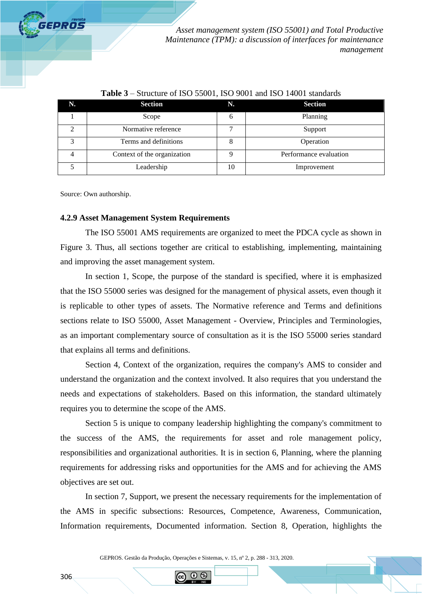

| N. | <b>Section</b>              | N. | <b>Section</b>         |
|----|-----------------------------|----|------------------------|
|    | Scope                       | 6  | Planning               |
|    | Normative reference         |    | Support                |
| 2  | Terms and definitions       |    | Operation              |
| 4  | Context of the organization |    | Performance evaluation |
|    | Leadership                  | 10 | Improvement            |

## **Table 3** – Structure of ISO 55001, ISO 9001 and ISO 14001 standards

Source: Own authorship.

### **4.2.9 Asset Management System Requirements**

The ISO 55001 AMS requirements are organized to meet the PDCA cycle as shown in Figure 3. Thus, all sections together are critical to establishing, implementing, maintaining and improving the asset management system.

In section 1, Scope, the purpose of the standard is specified, where it is emphasized that the ISO 55000 series was designed for the management of physical assets, even though it is replicable to other types of assets. The Normative reference and Terms and definitions sections relate to ISO 55000, Asset Management - Overview, Principles and Terminologies, as an important complementary source of consultation as it is the ISO 55000 series standard that explains all terms and definitions.

Section 4, Context of the organization, requires the company's AMS to consider and understand the organization and the context involved. It also requires that you understand the needs and expectations of stakeholders. Based on this information, the standard ultimately requires you to determine the scope of the AMS.

Section 5 is unique to company leadership highlighting the company's commitment to the success of the AMS, the requirements for asset and role management policy, responsibilities and organizational authorities. It is in section 6, Planning, where the planning requirements for addressing risks and opportunities for the AMS and for achieving the AMS objectives are set out.

In section 7, Support, we present the necessary requirements for the implementation of the AMS in specific subsections: Resources, Competence, Awareness, Communication, Information requirements, Documented information. Section 8, Operation, highlights the

GEPROS. Gestão da Produção, Operações e Sistemas, v. 15, nº 2, p. 288 - 313, 2020.

(1) IS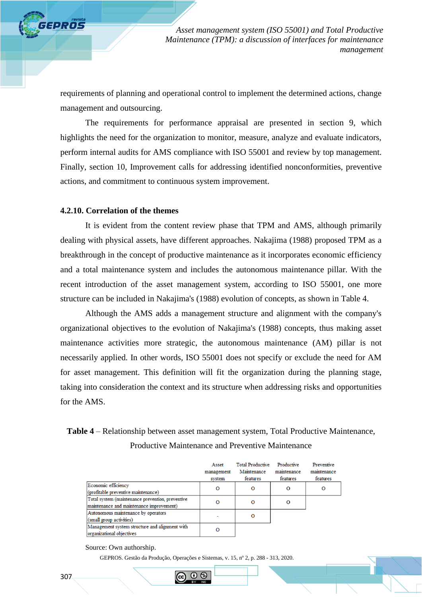requirements of planning and operational control to implement the determined actions, change management and outsourcing.

The requirements for performance appraisal are presented in section 9, which highlights the need for the organization to monitor, measure, analyze and evaluate indicators, perform internal audits for AMS compliance with ISO 55001 and review by top management. Finally, section 10, Improvement calls for addressing identified nonconformities, preventive actions, and commitment to continuous system improvement.

#### **4.2.10. Correlation of the themes**

**FPROS** 

It is evident from the content review phase that TPM and AMS, although primarily dealing with physical assets, have different approaches. Nakajima (1988) proposed TPM as a breakthrough in the concept of productive maintenance as it incorporates economic efficiency and a total maintenance system and includes the autonomous maintenance pillar. With the recent introduction of the asset management system, according to ISO 55001, one more structure can be included in Nakajima's (1988) evolution of concepts, as shown in Table 4.

Although the AMS adds a management structure and alignment with the company's organizational objectives to the evolution of Nakajima's (1988) concepts, thus making asset maintenance activities more strategic, the autonomous maintenance (AM) pillar is not necessarily applied. In other words, ISO 55001 does not specify or exclude the need for AM for asset management. This definition will fit the organization during the planning stage, taking into consideration the context and its structure when addressing risks and opportunities for the AMS.

# **Table 4** – Relationship between asset management system, Total Productive Maintenance, Productive Maintenance and Preventive Maintenance

|                                                  | Asset      | <b>Total Productive</b> | Productive  | Preventive  |
|--------------------------------------------------|------------|-------------------------|-------------|-------------|
|                                                  | management | Maintenance             | maintenance | maintenance |
|                                                  | system     | features                | features    | features    |
| Economic efficiency                              | O          | O                       | O           | O           |
| (profitable preventive maintenance)              |            |                         |             |             |
| Total system (maintenance prevention, preventive |            | $\Omega$                | O           |             |
| maintenance and maintenance improvement)         |            |                         |             |             |
| Autonomous maintenance by operators              |            | O                       |             |             |
| (small group activities)                         |            |                         |             |             |
| Management system structure and alignment with   | O          |                         |             |             |
| organizational objectives                        |            |                         |             |             |

Source: Own authorship.

GEPROS. Gestão da Produção, Operações e Sistemas, v. 15, nº 2, p. 288 - 313, 2020.

(1) IS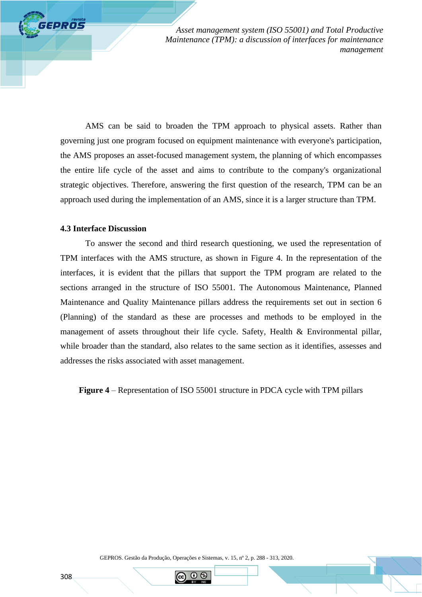AMS can be said to broaden the TPM approach to physical assets. Rather than governing just one program focused on equipment maintenance with everyone's participation, the AMS proposes an asset-focused management system, the planning of which encompasses the entire life cycle of the asset and aims to contribute to the company's organizational strategic objectives. Therefore, answering the first question of the research, TPM can be an approach used during the implementation of an AMS, since it is a larger structure than TPM.

## **4.3 Interface Discussion**

**FEPROS** 

To answer the second and third research questioning, we used the representation of TPM interfaces with the AMS structure, as shown in Figure 4. In the representation of the interfaces, it is evident that the pillars that support the TPM program are related to the sections arranged in the structure of ISO 55001. The Autonomous Maintenance, Planned Maintenance and Quality Maintenance pillars address the requirements set out in section 6 (Planning) of the standard as these are processes and methods to be employed in the management of assets throughout their life cycle. Safety, Health & Environmental pillar, while broader than the standard, also relates to the same section as it identifies, assesses and addresses the risks associated with asset management.

**Figure 4** – Representation of ISO 55001 structure in PDCA cycle with TPM pillars

GEPROS. Gestão da Produção, Operações e Sistemas, v. 15, nº 2, p. 288 - 313, 2020.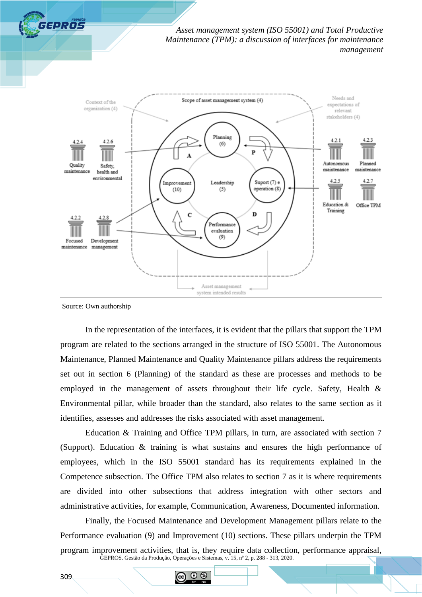



Source: Own authorship

In the representation of the interfaces, it is evident that the pillars that support the TPM program are related to the sections arranged in the structure of ISO 55001. The Autonomous Maintenance, Planned Maintenance and Quality Maintenance pillars address the requirements set out in section 6 (Planning) of the standard as these are processes and methods to be employed in the management of assets throughout their life cycle. Safety, Health & Environmental pillar, while broader than the standard, also relates to the same section as it identifies, assesses and addresses the risks associated with asset management.

Education & Training and Office TPM pillars, in turn, are associated with section 7 (Support). Education & training is what sustains and ensures the high performance of employees, which in the ISO 55001 standard has its requirements explained in the Competence subsection. The Office TPM also relates to section 7 as it is where requirements are divided into other subsections that address integration with other sectors and administrative activities, for example, Communication, Awareness, Documented information.

GEPROS. Gestão da Produção, Operações e Sistemas, v. 15, nº 2, p. 288 - 313, 2020. Finally, the Focused Maintenance and Development Management pillars relate to the Performance evaluation (9) and Improvement (10) sections. These pillars underpin the TPM program improvement activities, that is, they require data collection, performance appraisal,

 $\odot$   $\odot$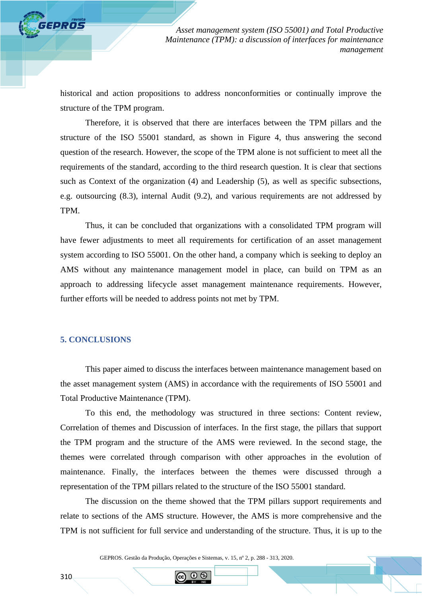historical and action propositions to address nonconformities or continually improve the structure of the TPM program.

Therefore, it is observed that there are interfaces between the TPM pillars and the structure of the ISO 55001 standard, as shown in Figure 4, thus answering the second question of the research. However, the scope of the TPM alone is not sufficient to meet all the requirements of the standard, according to the third research question. It is clear that sections such as Context of the organization (4) and Leadership (5), as well as specific subsections, e.g. outsourcing (8.3), internal Audit (9.2), and various requirements are not addressed by TPM.

Thus, it can be concluded that organizations with a consolidated TPM program will have fewer adjustments to meet all requirements for certification of an asset management system according to ISO 55001. On the other hand, a company which is seeking to deploy an AMS without any maintenance management model in place, can build on TPM as an approach to addressing lifecycle asset management maintenance requirements. However, further efforts will be needed to address points not met by TPM.

# **5. CONCLUSIONS**

*GPROS* 

This paper aimed to discuss the interfaces between maintenance management based on the asset management system (AMS) in accordance with the requirements of ISO 55001 and Total Productive Maintenance (TPM).

To this end, the methodology was structured in three sections: Content review, Correlation of themes and Discussion of interfaces. In the first stage, the pillars that support the TPM program and the structure of the AMS were reviewed. In the second stage, the themes were correlated through comparison with other approaches in the evolution of maintenance. Finally, the interfaces between the themes were discussed through a representation of the TPM pillars related to the structure of the ISO 55001 standard.

The discussion on the theme showed that the TPM pillars support requirements and relate to sections of the AMS structure. However, the AMS is more comprehensive and the TPM is not sufficient for full service and understanding of the structure. Thus, it is up to the

GEPROS. Gestão da Produção, Operações e Sistemas, v. 15, nº 2, p. 288 - 313, 2020.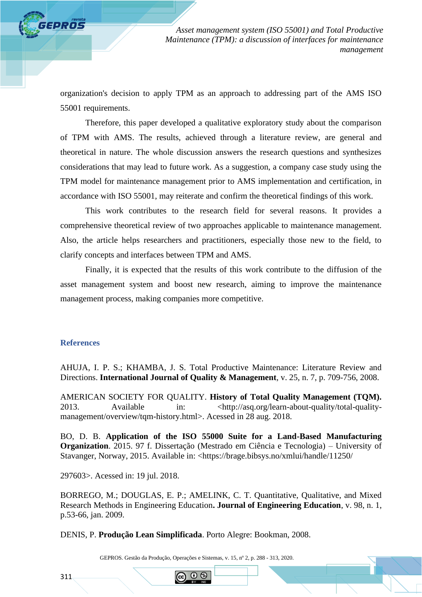organization's decision to apply TPM as an approach to addressing part of the AMS ISO 55001 requirements.

Therefore, this paper developed a qualitative exploratory study about the comparison of TPM with AMS. The results, achieved through a literature review, are general and theoretical in nature. The whole discussion answers the research questions and synthesizes considerations that may lead to future work. As a suggestion, a company case study using the TPM model for maintenance management prior to AMS implementation and certification, in accordance with ISO 55001, may reiterate and confirm the theoretical findings of this work.

This work contributes to the research field for several reasons. It provides a comprehensive theoretical review of two approaches applicable to maintenance management. Also, the article helps researchers and practitioners, especially those new to the field, to clarify concepts and interfaces between TPM and AMS.

Finally, it is expected that the results of this work contribute to the diffusion of the asset management system and boost new research, aiming to improve the maintenance management process, making companies more competitive.

#### **References**

*SEPROS* 

AHUJA, I. P. S.; KHAMBA, J. S. Total Productive Maintenance: Literature Review and Directions. **International Journal of Quality & Management**, v. 25, n. 7, p. 709-756, 2008.

AMERICAN SOCIETY FOR QUALITY. **History of Total Quality Management (TQM).** 2013. Available in:  $\langle \frac{http://asq.org/learn-about-quality/total-quality$ management/overview/tqm-history.html>. Acessed in 28 aug. 2018.

BO, D. B. **Application of the ISO 55000 Suite for a Land-Based Manufacturing Organization**. 2015. 97 f. Dissertação (Mestrado em Ciência e Tecnologia) – University of Stavanger, Norway, 2015. Available in: <https://brage.bibsys.no/xmlui/handle/11250/

297603>. Acessed in: 19 jul. 2018.

BORREGO, M.; DOUGLAS, E. P.; AMELINK, C. T. Quantitative, Qualitative, and Mixed Research Methods in Engineering Education**. Journal of Engineering Education**, v. 98, n. 1, p.53-66, jan. 2009.

DENIS, P. **Produção Lean Simplificada**. Porto Alegre: Bookman, 2008.

GEPROS. Gestão da Produção, Operações e Sistemas, v. 15, nº 2, p. 288 - 313, 2020.

 $\odot$  6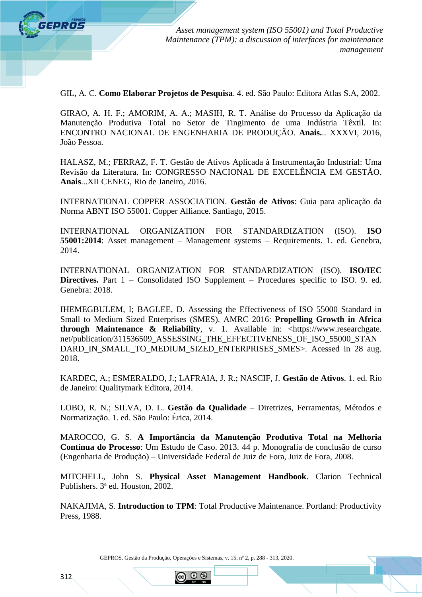

GIL, A. C. **Como Elaborar Projetos de Pesquisa**. 4. ed. São Paulo: Editora Atlas S.A, 2002.

GIRAO, A. H. F.; AMORIM, A. A.; MASIH, R. T. Análise do Processo da Aplicação da Manutenção Produtiva Total no Setor de Tingimento de uma Indústria Têxtil. In: ENCONTRO NACIONAL DE ENGENHARIA DE PRODUÇÃO. **Anais.**.. XXXVI, 2016, João Pessoa.

HALASZ, M.; FERRAZ, F. T. Gestão de Ativos Aplicada à Instrumentação Industrial: Uma Revisão da Literatura. In: CONGRESSO NACIONAL DE EXCELÊNCIA EM GESTÃO. **Anais**...XII CENEG, Rio de Janeiro, 2016.

INTERNATIONAL COPPER ASSOCIATION. **Gestão de Ativos**: Guia para aplicação da Norma ABNT ISO 55001. Copper Alliance. Santiago, 2015.

INTERNATIONAL ORGANIZATION FOR STANDARDIZATION (ISO). **ISO 55001:2014**: Asset management – Management systems – Requirements. 1. ed. Genebra, 2014.

INTERNATIONAL ORGANIZATION FOR STANDARDIZATION (ISO). **ISO/IEC Directives.** Part 1 – Consolidated ISO Supplement – Procedures specific to ISO. 9. ed. Genebra: 2018.

IHEMEGBULEM, I; BAGLEE, D. Assessing the Effectiveness of ISO 55000 Standard in Small to Medium Sized Enterprises (SMES). AMRC 2016: **Propelling Growth in Africa through Maintenance & Reliability**, v. 1. Available in: <https://www.researchgate. net/publication/311536509\_ASSESSING\_THE\_EFFECTIVENESS\_OF\_ISO\_55000\_STAN DARD\_IN\_SMALL\_TO\_MEDIUM\_SIZED\_ENTERPRISES\_SMES>. Acessed in 28 aug. 2018.

KARDEC, A.; ESMERALDO, J.; LAFRAIA, J. R.; NASCIF, J. **Gestão de Ativos**. 1. ed. Rio de Janeiro: Qualitymark Editora, 2014.

LOBO, R. N.; SILVA, D. L. **Gestão da Qualidade** – Diretrizes, Ferramentas, Métodos e Normatização. 1. ed. São Paulo: Érica, 2014.

MAROCCO, G. S. **A Importância da Manutenção Produtiva Total na Melhoria Contínua do Processo**: Um Estudo de Caso. 2013. 44 p. Monografia de conclusão de curso (Engenharia de Produção) – Universidade Federal de Juiz de Fora, Juiz de Fora, 2008.

MITCHELL, John S. **Physical Asset Management Handbook**. Clarion Technical Publishers. 3ª ed. Houston, 2002.

NAKAJIMA, S. **Introduction to TPM**: Total Productive Maintenance. Portland: Productivity Press, 1988.

GEPROS. Gestão da Produção, Operações e Sistemas, v. 15, nº 2, p. 288 - 313, 2020.

(1) IS